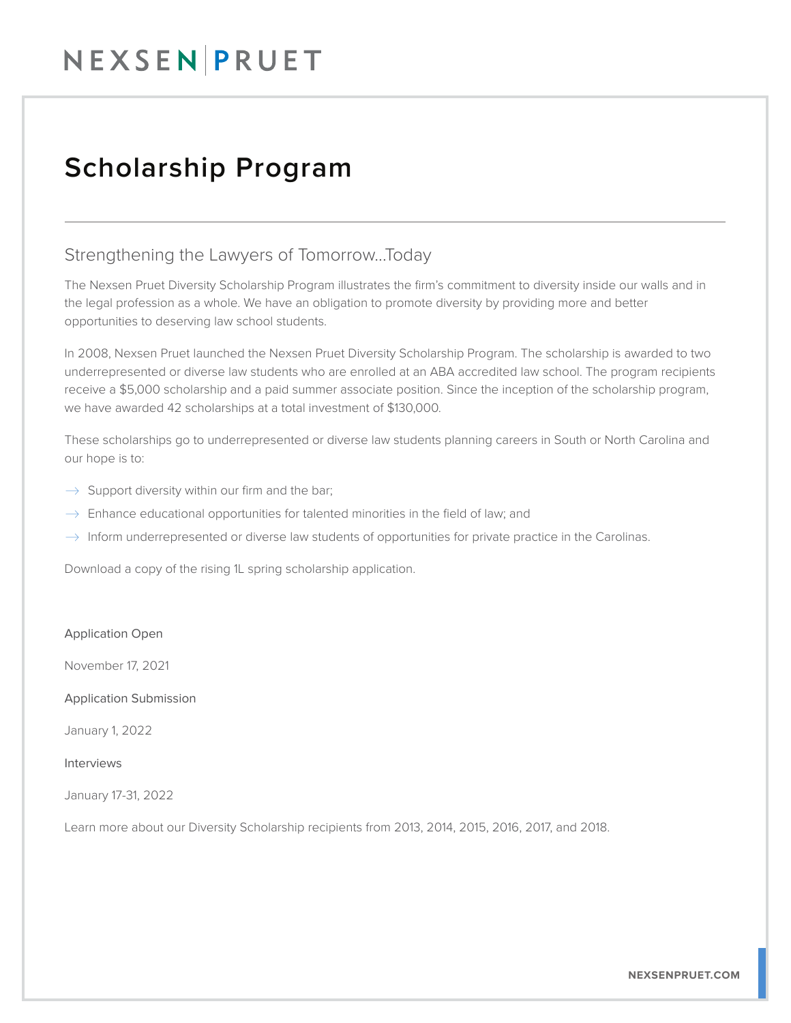## NEXSENPRUET

### Scholarship Program

### Strengthening the Lawyers of Tomorrow...Today

The Nexsen Pruet Diversity Scholarship Program illustrates the firm's commitment to diversity inside our walls and in the legal profession as a whole. We have an obligation to promote diversity by providing more and better opportunities to deserving law school students.

In 2008, Nexsen Pruet launched the Nexsen Pruet Diversity Scholarship Program. The scholarship is awarded to two underrepresented or diverse law students who are enrolled at an ABA accredited law school. The program recipients receive a \$5,000 scholarship and a paid summer associate position. Since the inception of the scholarship program, we have awarded 42 scholarships at a total investment of \$130,000.

These scholarships go to underrepresented or diverse law students planning careers in South or North Carolina and our hope is to:

- $\rightarrow$  Support diversity within our firm and the bar;
- $\rightarrow$  Enhance educational opportunities for talented minorities in the field of law; and
- $\rightarrow$  Inform underrepresented or diverse law students of opportunities for private practice in the Carolinas.

Download a copy of the rising 1L spring scholarship application.

#### Application Open

November 17, 2021

Application Submission

January 1, 2022

#### Interviews

January 17-31, 2022

Learn more about our Diversity Scholarship recipients from 2013, 2014, 2015, 2016, 2017, and 2018.